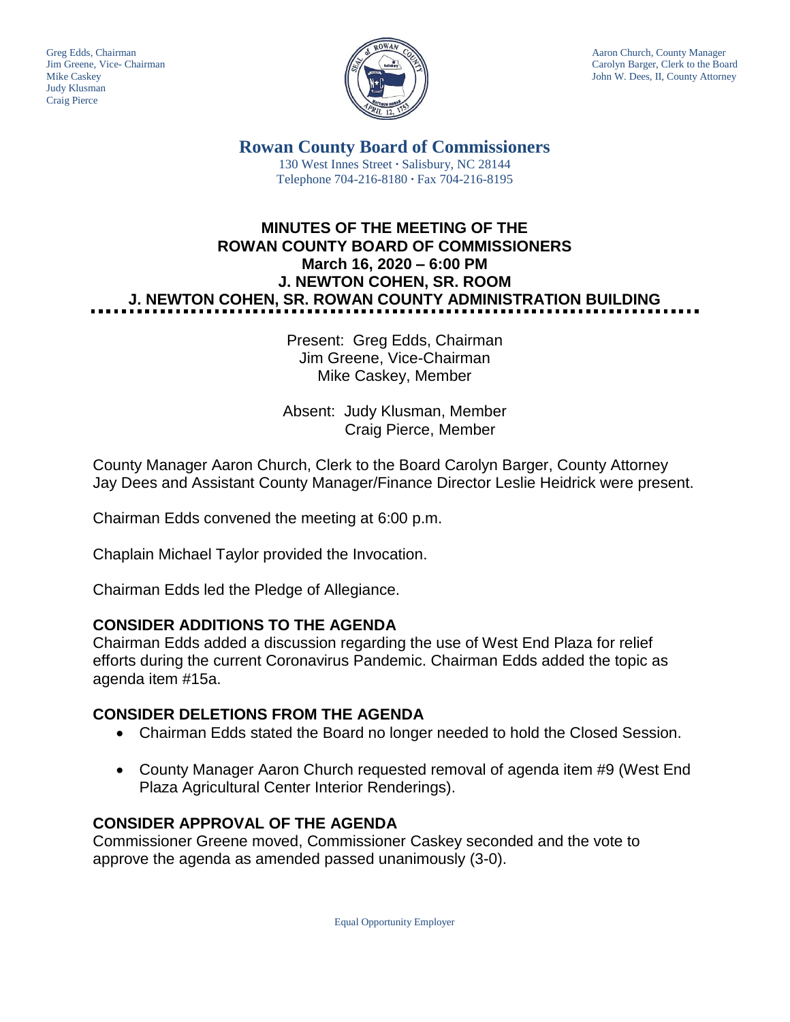Judy Klusman Craig Pierce



Greg Edds, Chairman Aaron Church, County Manager<br>Jim Greene, Vice- Chairman Aaron Church, County Manager<br>Carolyn Barger, Clerk to the Boa Carolyn Barger, Clerk to the Board Mike Caskey John W. Dees, II, County Attorney

> **Rowan County Board of Commissioners** 130 West Innes Street **∙** Salisbury, NC 28144 Telephone 704-216-8180 **∙** Fax 704-216-8195

# **MINUTES OF THE MEETING OF THE ROWAN COUNTY BOARD OF COMMISSIONERS March 16, 2020 – 6:00 PM J. NEWTON COHEN, SR. ROOM J. NEWTON COHEN, SR. ROWAN COUNTY ADMINISTRATION BUILDING**

Present: Greg Edds, Chairman Jim Greene, Vice-Chairman Mike Caskey, Member

Absent: Judy Klusman, Member Craig Pierce, Member

County Manager Aaron Church, Clerk to the Board Carolyn Barger, County Attorney Jay Dees and Assistant County Manager/Finance Director Leslie Heidrick were present.

Chairman Edds convened the meeting at 6:00 p.m.

Chaplain Michael Taylor provided the Invocation.

Chairman Edds led the Pledge of Allegiance.

## **CONSIDER ADDITIONS TO THE AGENDA**

Chairman Edds added a discussion regarding the use of West End Plaza for relief efforts during the current Coronavirus Pandemic. Chairman Edds added the topic as agenda item #15a.

## **CONSIDER DELETIONS FROM THE AGENDA**

- Chairman Edds stated the Board no longer needed to hold the Closed Session.
- County Manager Aaron Church requested removal of agenda item #9 (West End Plaza Agricultural Center Interior Renderings).

## **CONSIDER APPROVAL OF THE AGENDA**

Commissioner Greene moved, Commissioner Caskey seconded and the vote to approve the agenda as amended passed unanimously (3-0).

Equal Opportunity Employer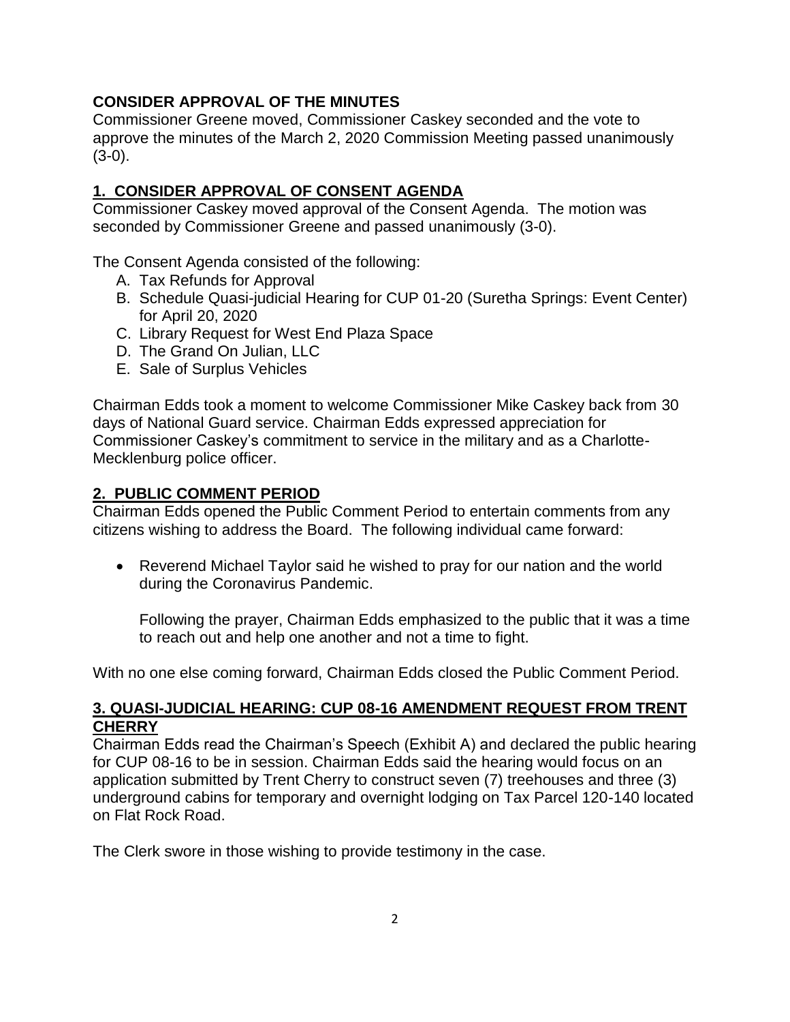### **CONSIDER APPROVAL OF THE MINUTES**

Commissioner Greene moved, Commissioner Caskey seconded and the vote to approve the minutes of the March 2, 2020 Commission Meeting passed unanimously (3-0).

## **1. CONSIDER APPROVAL OF CONSENT AGENDA**

Commissioner Caskey moved approval of the Consent Agenda. The motion was seconded by Commissioner Greene and passed unanimously (3-0).

The Consent Agenda consisted of the following:

- A. Tax Refunds for Approval
- B. Schedule Quasi-judicial Hearing for CUP 01-20 (Suretha Springs: Event Center) for April 20, 2020
- C. Library Request for West End Plaza Space
- D. The Grand On Julian, LLC
- E. Sale of Surplus Vehicles

Chairman Edds took a moment to welcome Commissioner Mike Caskey back from 30 days of National Guard service. Chairman Edds expressed appreciation for Commissioner Caskey's commitment to service in the military and as a Charlotte-Mecklenburg police officer.

## **2. PUBLIC COMMENT PERIOD**

Chairman Edds opened the Public Comment Period to entertain comments from any citizens wishing to address the Board. The following individual came forward:

• Reverend Michael Taylor said he wished to pray for our nation and the world during the Coronavirus Pandemic.

Following the prayer, Chairman Edds emphasized to the public that it was a time to reach out and help one another and not a time to fight.

With no one else coming forward, Chairman Edds closed the Public Comment Period.

### **3. QUASI-JUDICIAL HEARING: CUP 08-16 AMENDMENT REQUEST FROM TRENT CHERRY**

Chairman Edds read the Chairman's Speech (Exhibit A) and declared the public hearing for CUP 08-16 to be in session. Chairman Edds said the hearing would focus on an application submitted by Trent Cherry to construct seven (7) treehouses and three (3) underground cabins for temporary and overnight lodging on Tax Parcel 120-140 located on Flat Rock Road.

The Clerk swore in those wishing to provide testimony in the case.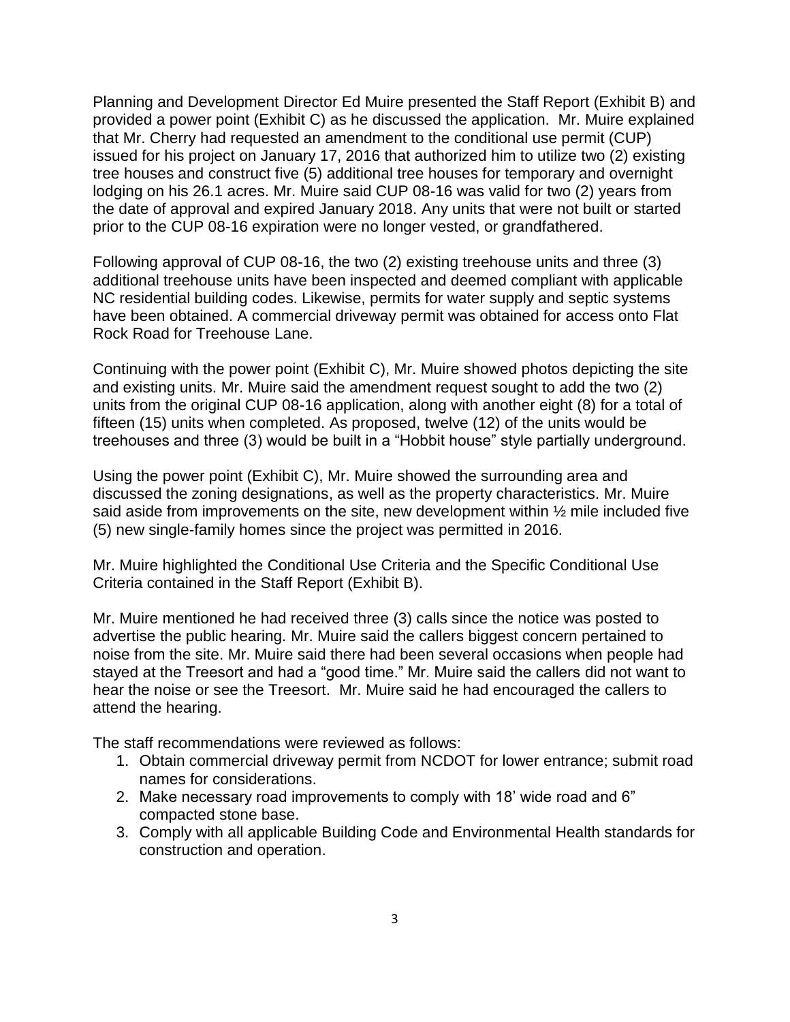Planning and Development Director Ed Muire presented the Staff Report (Exhibit B) and provided a power point (Exhibit C) as he discussed the application. Mr. Muire explained that Mr. Cherry had requested an amendment to the conditional use permit (CUP) issued for his project on January 17, 2016 that authorized him to utilize two (2) existing tree houses and construct five (5) additional tree houses for temporary and overnight lodging on his 26.1 acres. Mr. Muire said CUP 08-16 was valid for two (2) years from the date of approval and expired January 2018. Any units that were not built or started prior to the CUP 08-16 expiration were no longer vested, or grandfathered.

Following approval of CUP 08-16, the two (2) existing treehouse units and three (3) additional treehouse units have been inspected and deemed compliant with applicable NC residential building codes. Likewise, permits for water supply and septic systems have been obtained. A commercial driveway permit was obtained for access onto Flat Rock Road for Treehouse Lane.

Continuing with the power point (Exhibit C), Mr. Muire showed photos depicting the site and existing units. Mr. Muire said the amendment request sought to add the two (2) units from the original CUP 08-16 application, along with another eight (8) for a total of fifteen (15) units when completed. As proposed, twelve (12) of the units would be treehouses and three (3) would be built in a "Hobbit house" style partially underground.

Using the power point (Exhibit C), Mr. Muire showed the surrounding area and discussed the zoning designations, as well as the property characteristics. Mr. Muire said aside from improvements on the site, new development within  $\frac{1}{2}$  mile included five (5) new single-family homes since the project was permitted in 2016.

Mr. Muire highlighted the Conditional Use Criteria and the Specific Conditional Use Criteria contained in the Staff Report (Exhibit B).

Mr. Muire mentioned he had received three (3) calls since the notice was posted to advertise the public hearing. Mr. Muire said the callers biggest concern pertained to noise from the site. Mr. Muire said there had been several occasions when people had stayed at the Treesort and had a "good time." Mr. Muire said the callers did not want to hear the noise or see the Treesort. Mr. Muire said he had encouraged the callers to attend the hearing.

The staff recommendations were reviewed as follows:

- 1. Obtain commercial driveway permit from NCDOT for lower entrance; submit road names for considerations.
- 2. Make necessary road improvements to comply with 18' wide road and 6" compacted stone base.
- 3. Comply with all applicable Building Code and Environmental Health standards for construction and operation.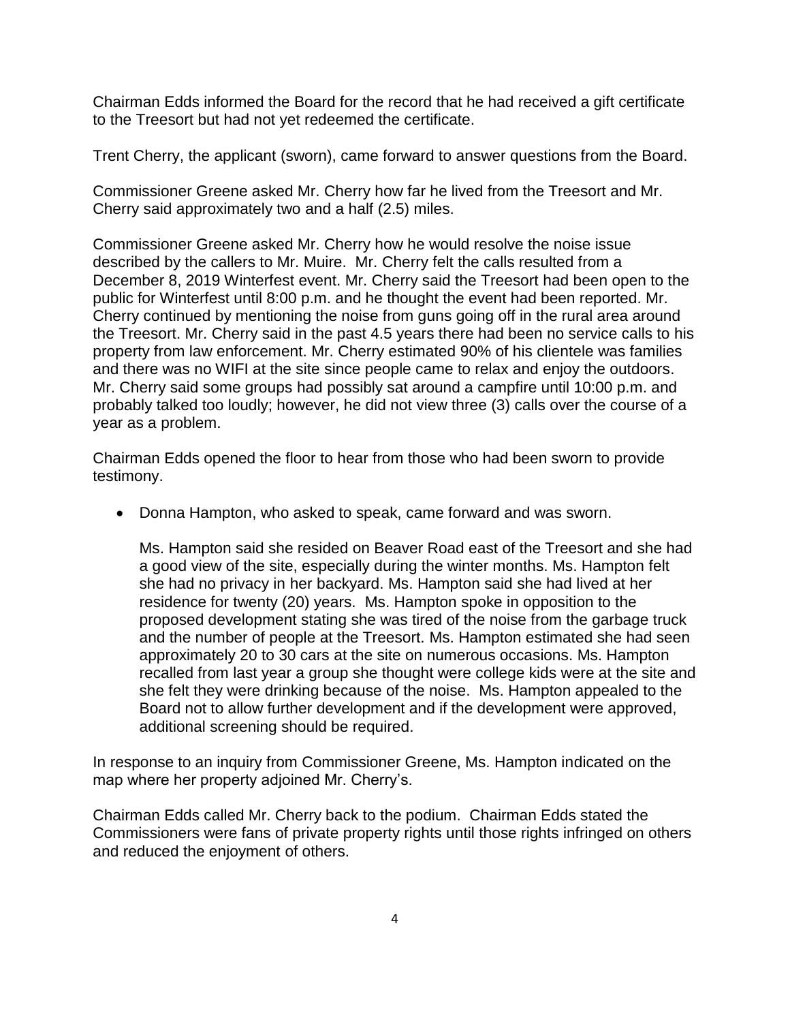Chairman Edds informed the Board for the record that he had received a gift certificate to the Treesort but had not yet redeemed the certificate.

Trent Cherry, the applicant (sworn), came forward to answer questions from the Board.

Commissioner Greene asked Mr. Cherry how far he lived from the Treesort and Mr. Cherry said approximately two and a half (2.5) miles.

Commissioner Greene asked Mr. Cherry how he would resolve the noise issue described by the callers to Mr. Muire. Mr. Cherry felt the calls resulted from a December 8, 2019 Winterfest event. Mr. Cherry said the Treesort had been open to the public for Winterfest until 8:00 p.m. and he thought the event had been reported. Mr. Cherry continued by mentioning the noise from guns going off in the rural area around the Treesort. Mr. Cherry said in the past 4.5 years there had been no service calls to his property from law enforcement. Mr. Cherry estimated 90% of his clientele was families and there was no WIFI at the site since people came to relax and enjoy the outdoors. Mr. Cherry said some groups had possibly sat around a campfire until 10:00 p.m. and probably talked too loudly; however, he did not view three (3) calls over the course of a year as a problem.

Chairman Edds opened the floor to hear from those who had been sworn to provide testimony.

• Donna Hampton, who asked to speak, came forward and was sworn.

Ms. Hampton said she resided on Beaver Road east of the Treesort and she had a good view of the site, especially during the winter months. Ms. Hampton felt she had no privacy in her backyard. Ms. Hampton said she had lived at her residence for twenty (20) years. Ms. Hampton spoke in opposition to the proposed development stating she was tired of the noise from the garbage truck and the number of people at the Treesort. Ms. Hampton estimated she had seen approximately 20 to 30 cars at the site on numerous occasions. Ms. Hampton recalled from last year a group she thought were college kids were at the site and she felt they were drinking because of the noise. Ms. Hampton appealed to the Board not to allow further development and if the development were approved, additional screening should be required.

In response to an inquiry from Commissioner Greene, Ms. Hampton indicated on the map where her property adjoined Mr. Cherry's.

Chairman Edds called Mr. Cherry back to the podium. Chairman Edds stated the Commissioners were fans of private property rights until those rights infringed on others and reduced the enjoyment of others.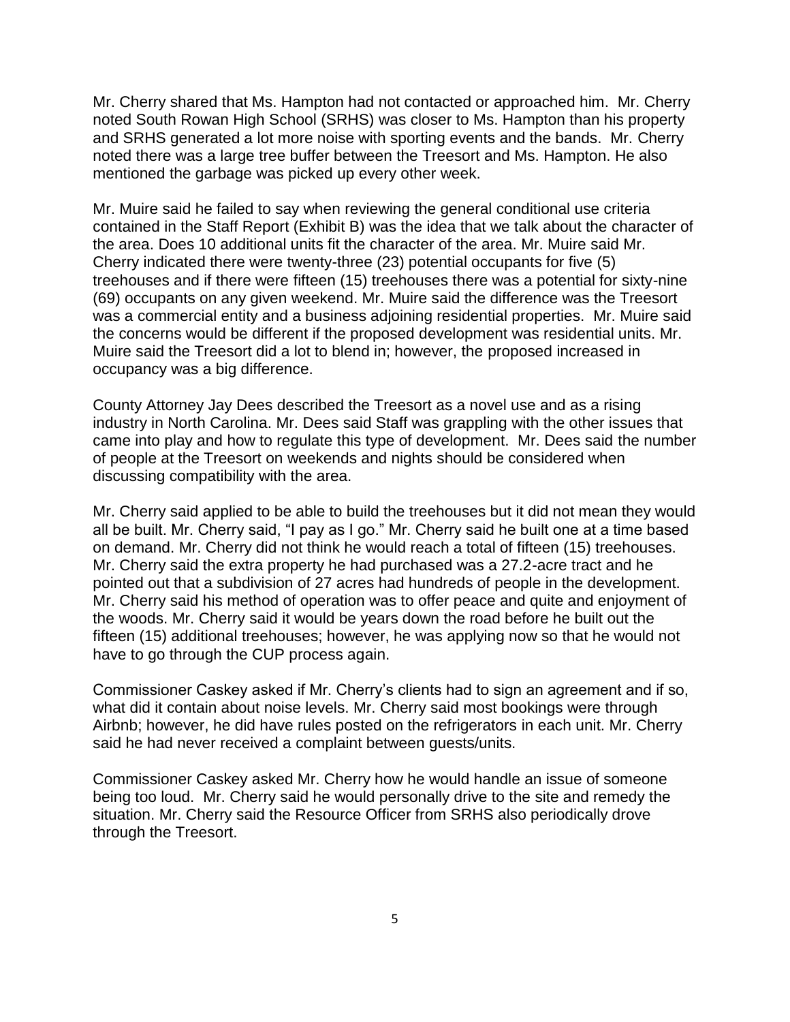Mr. Cherry shared that Ms. Hampton had not contacted or approached him. Mr. Cherry noted South Rowan High School (SRHS) was closer to Ms. Hampton than his property and SRHS generated a lot more noise with sporting events and the bands. Mr. Cherry noted there was a large tree buffer between the Treesort and Ms. Hampton. He also mentioned the garbage was picked up every other week.

Mr. Muire said he failed to say when reviewing the general conditional use criteria contained in the Staff Report (Exhibit B) was the idea that we talk about the character of the area. Does 10 additional units fit the character of the area. Mr. Muire said Mr. Cherry indicated there were twenty-three (23) potential occupants for five (5) treehouses and if there were fifteen (15) treehouses there was a potential for sixty-nine (69) occupants on any given weekend. Mr. Muire said the difference was the Treesort was a commercial entity and a business adjoining residential properties. Mr. Muire said the concerns would be different if the proposed development was residential units. Mr. Muire said the Treesort did a lot to blend in; however, the proposed increased in occupancy was a big difference.

County Attorney Jay Dees described the Treesort as a novel use and as a rising industry in North Carolina. Mr. Dees said Staff was grappling with the other issues that came into play and how to regulate this type of development. Mr. Dees said the number of people at the Treesort on weekends and nights should be considered when discussing compatibility with the area.

Mr. Cherry said applied to be able to build the treehouses but it did not mean they would all be built. Mr. Cherry said, "I pay as I go." Mr. Cherry said he built one at a time based on demand. Mr. Cherry did not think he would reach a total of fifteen (15) treehouses. Mr. Cherry said the extra property he had purchased was a 27.2-acre tract and he pointed out that a subdivision of 27 acres had hundreds of people in the development. Mr. Cherry said his method of operation was to offer peace and quite and enjoyment of the woods. Mr. Cherry said it would be years down the road before he built out the fifteen (15) additional treehouses; however, he was applying now so that he would not have to go through the CUP process again.

Commissioner Caskey asked if Mr. Cherry's clients had to sign an agreement and if so, what did it contain about noise levels. Mr. Cherry said most bookings were through Airbnb; however, he did have rules posted on the refrigerators in each unit. Mr. Cherry said he had never received a complaint between guests/units.

Commissioner Caskey asked Mr. Cherry how he would handle an issue of someone being too loud. Mr. Cherry said he would personally drive to the site and remedy the situation. Mr. Cherry said the Resource Officer from SRHS also periodically drove through the Treesort.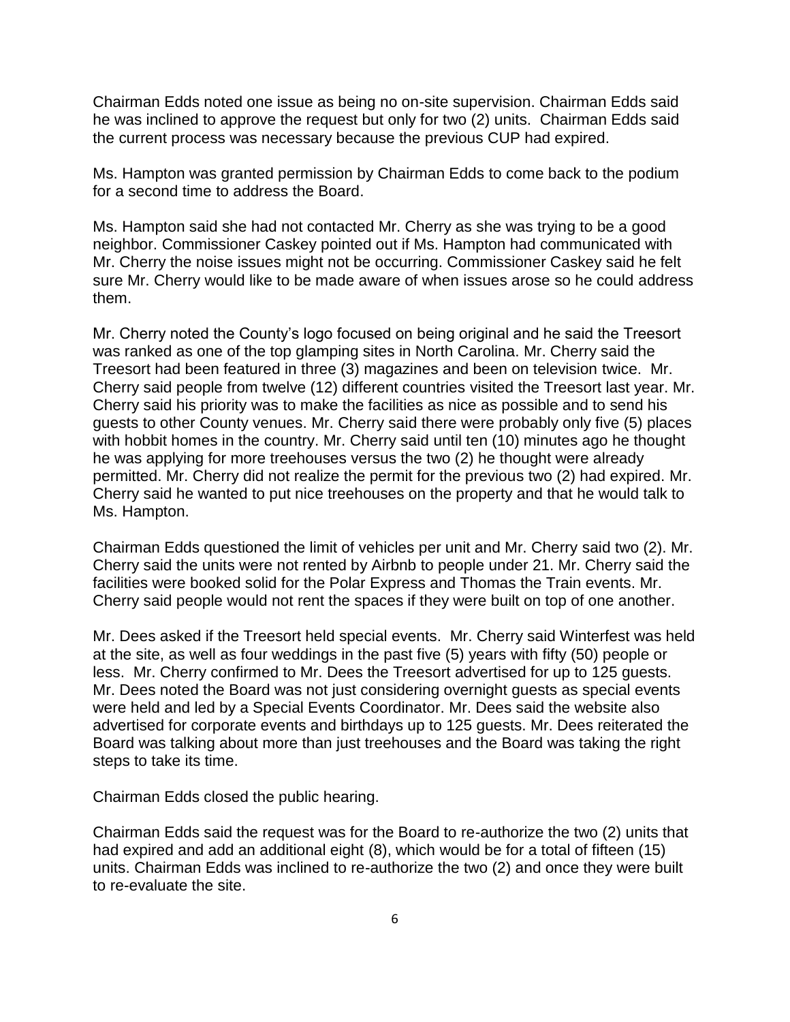Chairman Edds noted one issue as being no on-site supervision. Chairman Edds said he was inclined to approve the request but only for two (2) units. Chairman Edds said the current process was necessary because the previous CUP had expired.

Ms. Hampton was granted permission by Chairman Edds to come back to the podium for a second time to address the Board.

Ms. Hampton said she had not contacted Mr. Cherry as she was trying to be a good neighbor. Commissioner Caskey pointed out if Ms. Hampton had communicated with Mr. Cherry the noise issues might not be occurring. Commissioner Caskey said he felt sure Mr. Cherry would like to be made aware of when issues arose so he could address them.

Mr. Cherry noted the County's logo focused on being original and he said the Treesort was ranked as one of the top glamping sites in North Carolina. Mr. Cherry said the Treesort had been featured in three (3) magazines and been on television twice. Mr. Cherry said people from twelve (12) different countries visited the Treesort last year. Mr. Cherry said his priority was to make the facilities as nice as possible and to send his guests to other County venues. Mr. Cherry said there were probably only five (5) places with hobbit homes in the country. Mr. Cherry said until ten (10) minutes ago he thought he was applying for more treehouses versus the two (2) he thought were already permitted. Mr. Cherry did not realize the permit for the previous two (2) had expired. Mr. Cherry said he wanted to put nice treehouses on the property and that he would talk to Ms. Hampton.

Chairman Edds questioned the limit of vehicles per unit and Mr. Cherry said two (2). Mr. Cherry said the units were not rented by Airbnb to people under 21. Mr. Cherry said the facilities were booked solid for the Polar Express and Thomas the Train events. Mr. Cherry said people would not rent the spaces if they were built on top of one another.

Mr. Dees asked if the Treesort held special events. Mr. Cherry said Winterfest was held at the site, as well as four weddings in the past five (5) years with fifty (50) people or less. Mr. Cherry confirmed to Mr. Dees the Treesort advertised for up to 125 guests. Mr. Dees noted the Board was not just considering overnight guests as special events were held and led by a Special Events Coordinator. Mr. Dees said the website also advertised for corporate events and birthdays up to 125 guests. Mr. Dees reiterated the Board was talking about more than just treehouses and the Board was taking the right steps to take its time.

Chairman Edds closed the public hearing.

Chairman Edds said the request was for the Board to re-authorize the two (2) units that had expired and add an additional eight (8), which would be for a total of fifteen (15) units. Chairman Edds was inclined to re-authorize the two (2) and once they were built to re-evaluate the site.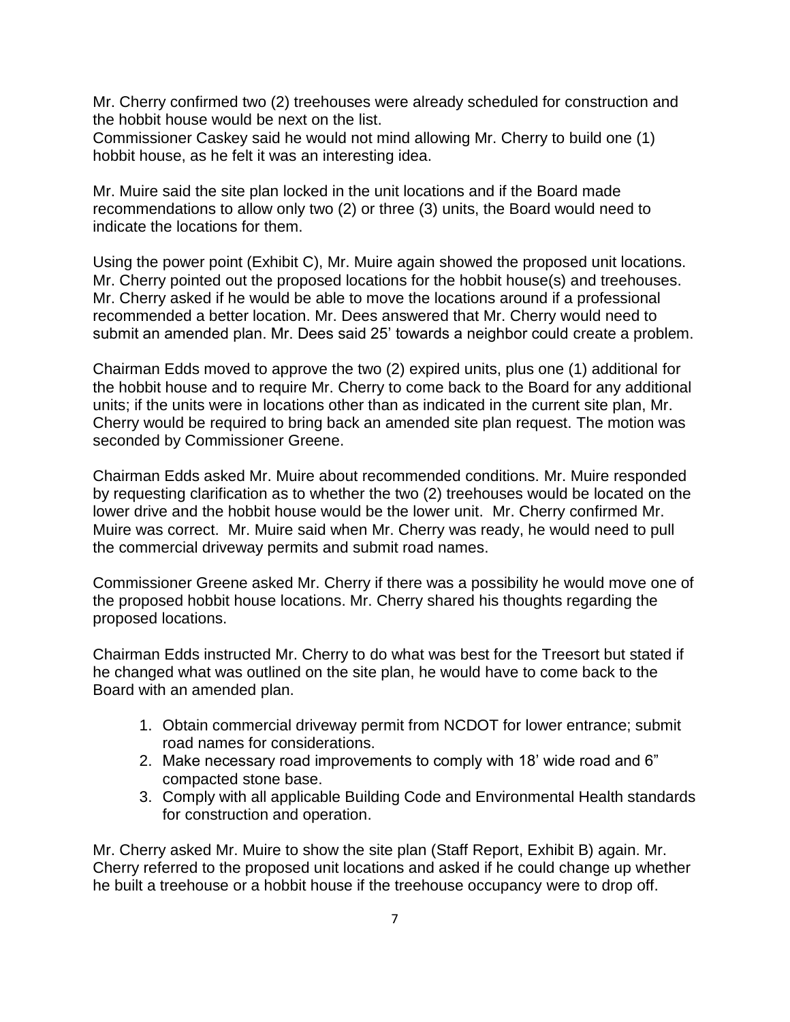Mr. Cherry confirmed two (2) treehouses were already scheduled for construction and the hobbit house would be next on the list.

Commissioner Caskey said he would not mind allowing Mr. Cherry to build one (1) hobbit house, as he felt it was an interesting idea.

Mr. Muire said the site plan locked in the unit locations and if the Board made recommendations to allow only two (2) or three (3) units, the Board would need to indicate the locations for them.

Using the power point (Exhibit C), Mr. Muire again showed the proposed unit locations. Mr. Cherry pointed out the proposed locations for the hobbit house(s) and treehouses. Mr. Cherry asked if he would be able to move the locations around if a professional recommended a better location. Mr. Dees answered that Mr. Cherry would need to submit an amended plan. Mr. Dees said 25' towards a neighbor could create a problem.

Chairman Edds moved to approve the two (2) expired units, plus one (1) additional for the hobbit house and to require Mr. Cherry to come back to the Board for any additional units; if the units were in locations other than as indicated in the current site plan, Mr. Cherry would be required to bring back an amended site plan request. The motion was seconded by Commissioner Greene.

Chairman Edds asked Mr. Muire about recommended conditions. Mr. Muire responded by requesting clarification as to whether the two (2) treehouses would be located on the lower drive and the hobbit house would be the lower unit. Mr. Cherry confirmed Mr. Muire was correct. Mr. Muire said when Mr. Cherry was ready, he would need to pull the commercial driveway permits and submit road names.

Commissioner Greene asked Mr. Cherry if there was a possibility he would move one of the proposed hobbit house locations. Mr. Cherry shared his thoughts regarding the proposed locations.

Chairman Edds instructed Mr. Cherry to do what was best for the Treesort but stated if he changed what was outlined on the site plan, he would have to come back to the Board with an amended plan.

- 1. Obtain commercial driveway permit from NCDOT for lower entrance; submit road names for considerations.
- 2. Make necessary road improvements to comply with 18' wide road and 6" compacted stone base.
- 3. Comply with all applicable Building Code and Environmental Health standards for construction and operation.

Mr. Cherry asked Mr. Muire to show the site plan (Staff Report, Exhibit B) again. Mr. Cherry referred to the proposed unit locations and asked if he could change up whether he built a treehouse or a hobbit house if the treehouse occupancy were to drop off.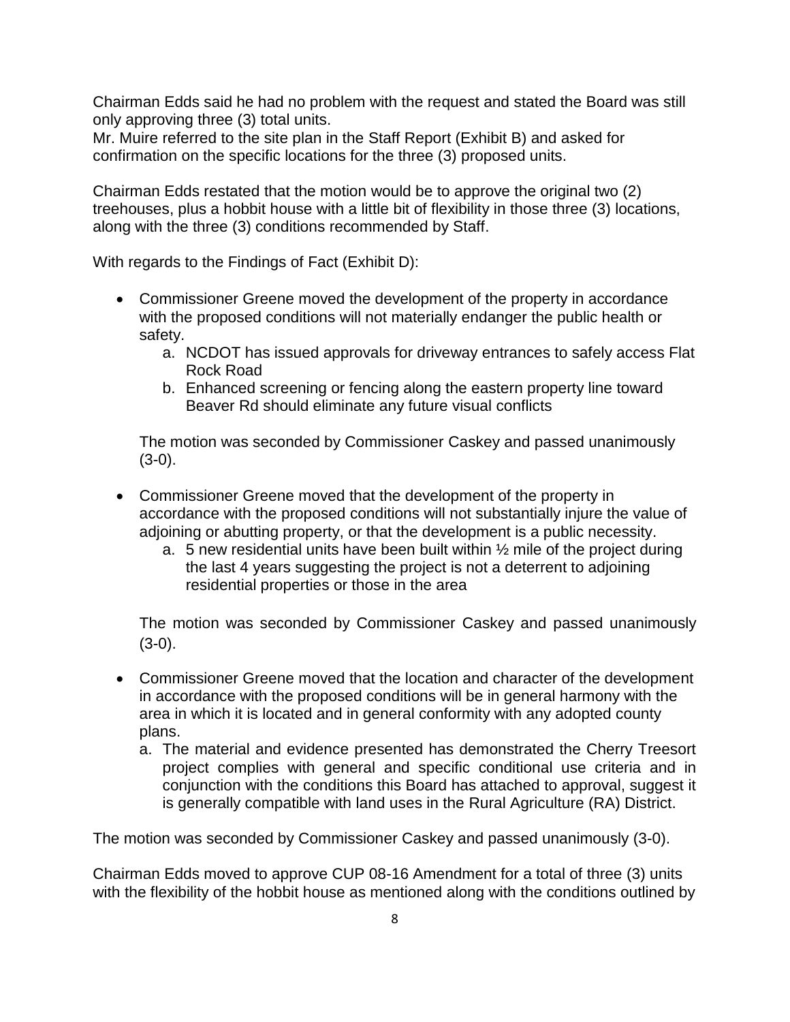Chairman Edds said he had no problem with the request and stated the Board was still only approving three (3) total units.

Mr. Muire referred to the site plan in the Staff Report (Exhibit B) and asked for confirmation on the specific locations for the three (3) proposed units.

Chairman Edds restated that the motion would be to approve the original two (2) treehouses, plus a hobbit house with a little bit of flexibility in those three (3) locations, along with the three (3) conditions recommended by Staff.

With regards to the Findings of Fact (Exhibit D):

- Commissioner Greene moved the development of the property in accordance with the proposed conditions will not materially endanger the public health or safety.
	- a. NCDOT has issued approvals for driveway entrances to safely access Flat Rock Road
	- b. Enhanced screening or fencing along the eastern property line toward Beaver Rd should eliminate any future visual conflicts

The motion was seconded by Commissioner Caskey and passed unanimously  $(3-0)$ .

- Commissioner Greene moved that the development of the property in accordance with the proposed conditions will not substantially injure the value of adjoining or abutting property, or that the development is a public necessity.
	- a. 5 new residential units have been built within ½ mile of the project during the last 4 years suggesting the project is not a deterrent to adjoining residential properties or those in the area

The motion was seconded by Commissioner Caskey and passed unanimously  $(3-0).$ 

- Commissioner Greene moved that the location and character of the development in accordance with the proposed conditions will be in general harmony with the area in which it is located and in general conformity with any adopted county plans.
	- a. The material and evidence presented has demonstrated the Cherry Treesort project complies with general and specific conditional use criteria and in conjunction with the conditions this Board has attached to approval, suggest it is generally compatible with land uses in the Rural Agriculture (RA) District.

The motion was seconded by Commissioner Caskey and passed unanimously (3-0).

Chairman Edds moved to approve CUP 08-16 Amendment for a total of three (3) units with the flexibility of the hobbit house as mentioned along with the conditions outlined by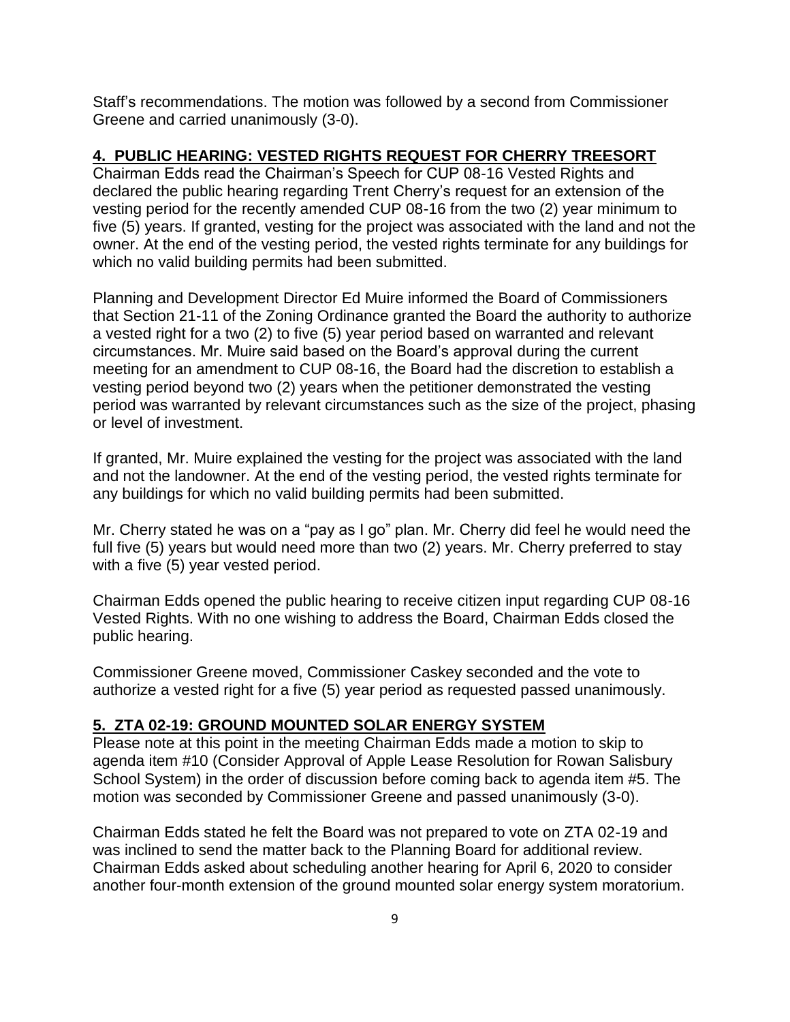Staff's recommendations. The motion was followed by a second from Commissioner Greene and carried unanimously (3-0).

## **4. PUBLIC HEARING: VESTED RIGHTS REQUEST FOR CHERRY TREESORT**

Chairman Edds read the Chairman's Speech for CUP 08-16 Vested Rights and declared the public hearing regarding Trent Cherry's request for an extension of the vesting period for the recently amended CUP 08-16 from the two (2) year minimum to five (5) years. If granted, vesting for the project was associated with the land and not the owner. At the end of the vesting period, the vested rights terminate for any buildings for which no valid building permits had been submitted.

Planning and Development Director Ed Muire informed the Board of Commissioners that Section 21-11 of the Zoning Ordinance granted the Board the authority to authorize a vested right for a two (2) to five (5) year period based on warranted and relevant circumstances. Mr. Muire said based on the Board's approval during the current meeting for an amendment to CUP 08-16, the Board had the discretion to establish a vesting period beyond two (2) years when the petitioner demonstrated the vesting period was warranted by relevant circumstances such as the size of the project, phasing or level of investment.

If granted, Mr. Muire explained the vesting for the project was associated with the land and not the landowner. At the end of the vesting period, the vested rights terminate for any buildings for which no valid building permits had been submitted.

Mr. Cherry stated he was on a "pay as I go" plan. Mr. Cherry did feel he would need the full five (5) years but would need more than two (2) years. Mr. Cherry preferred to stay with a five (5) year vested period.

Chairman Edds opened the public hearing to receive citizen input regarding CUP 08-16 Vested Rights. With no one wishing to address the Board, Chairman Edds closed the public hearing.

Commissioner Greene moved, Commissioner Caskey seconded and the vote to authorize a vested right for a five (5) year period as requested passed unanimously.

## **5. ZTA 02-19: GROUND MOUNTED SOLAR ENERGY SYSTEM**

Please note at this point in the meeting Chairman Edds made a motion to skip to agenda item #10 (Consider Approval of Apple Lease Resolution for Rowan Salisbury School System) in the order of discussion before coming back to agenda item #5. The motion was seconded by Commissioner Greene and passed unanimously (3-0).

Chairman Edds stated he felt the Board was not prepared to vote on ZTA 02-19 and was inclined to send the matter back to the Planning Board for additional review. Chairman Edds asked about scheduling another hearing for April 6, 2020 to consider another four-month extension of the ground mounted solar energy system moratorium.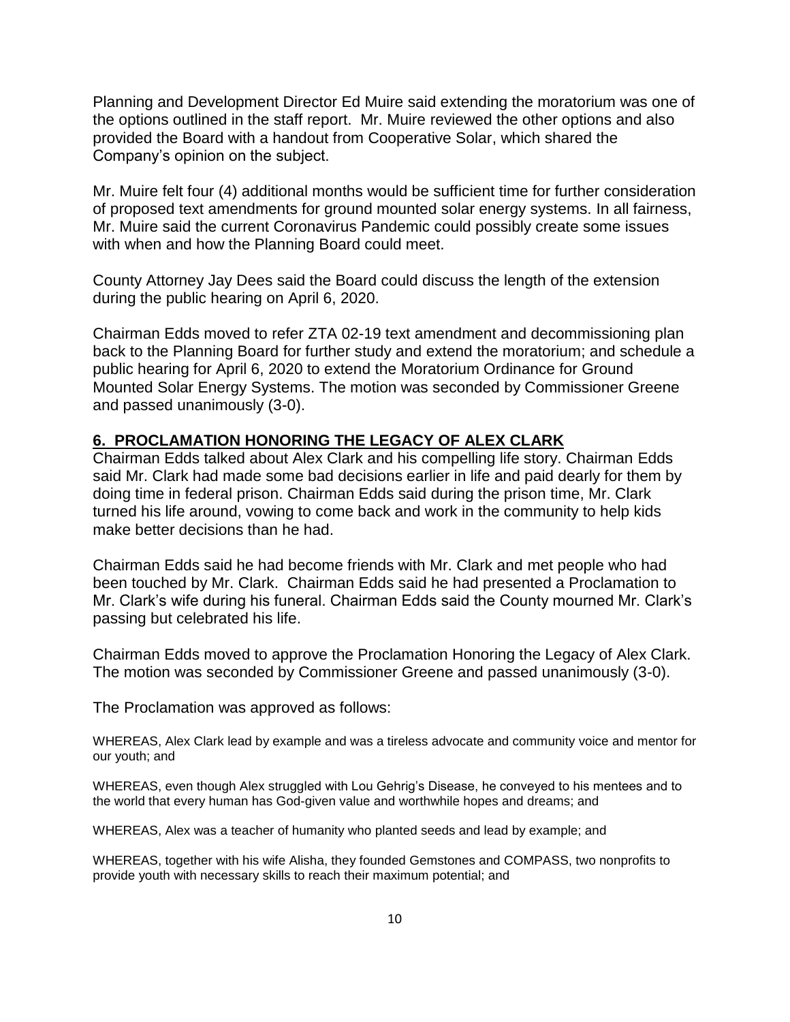Planning and Development Director Ed Muire said extending the moratorium was one of the options outlined in the staff report. Mr. Muire reviewed the other options and also provided the Board with a handout from Cooperative Solar, which shared the Company's opinion on the subject.

Mr. Muire felt four (4) additional months would be sufficient time for further consideration of proposed text amendments for ground mounted solar energy systems. In all fairness, Mr. Muire said the current Coronavirus Pandemic could possibly create some issues with when and how the Planning Board could meet.

County Attorney Jay Dees said the Board could discuss the length of the extension during the public hearing on April 6, 2020.

Chairman Edds moved to refer ZTA 02-19 text amendment and decommissioning plan back to the Planning Board for further study and extend the moratorium; and schedule a public hearing for April 6, 2020 to extend the Moratorium Ordinance for Ground Mounted Solar Energy Systems. The motion was seconded by Commissioner Greene and passed unanimously (3-0).

#### **6. PROCLAMATION HONORING THE LEGACY OF ALEX CLARK**

Chairman Edds talked about Alex Clark and his compelling life story. Chairman Edds said Mr. Clark had made some bad decisions earlier in life and paid dearly for them by doing time in federal prison. Chairman Edds said during the prison time, Mr. Clark turned his life around, vowing to come back and work in the community to help kids make better decisions than he had.

Chairman Edds said he had become friends with Mr. Clark and met people who had been touched by Mr. Clark. Chairman Edds said he had presented a Proclamation to Mr. Clark's wife during his funeral. Chairman Edds said the County mourned Mr. Clark's passing but celebrated his life.

Chairman Edds moved to approve the Proclamation Honoring the Legacy of Alex Clark. The motion was seconded by Commissioner Greene and passed unanimously (3-0).

The Proclamation was approved as follows:

WHEREAS, Alex Clark lead by example and was a tireless advocate and community voice and mentor for our youth; and

WHEREAS, even though Alex struggled with Lou Gehrig's Disease, he conveyed to his mentees and to the world that every human has God-given value and worthwhile hopes and dreams; and

WHEREAS, Alex was a teacher of humanity who planted seeds and lead by example; and

WHEREAS, together with his wife Alisha, they founded Gemstones and COMPASS, two nonprofits to provide youth with necessary skills to reach their maximum potential; and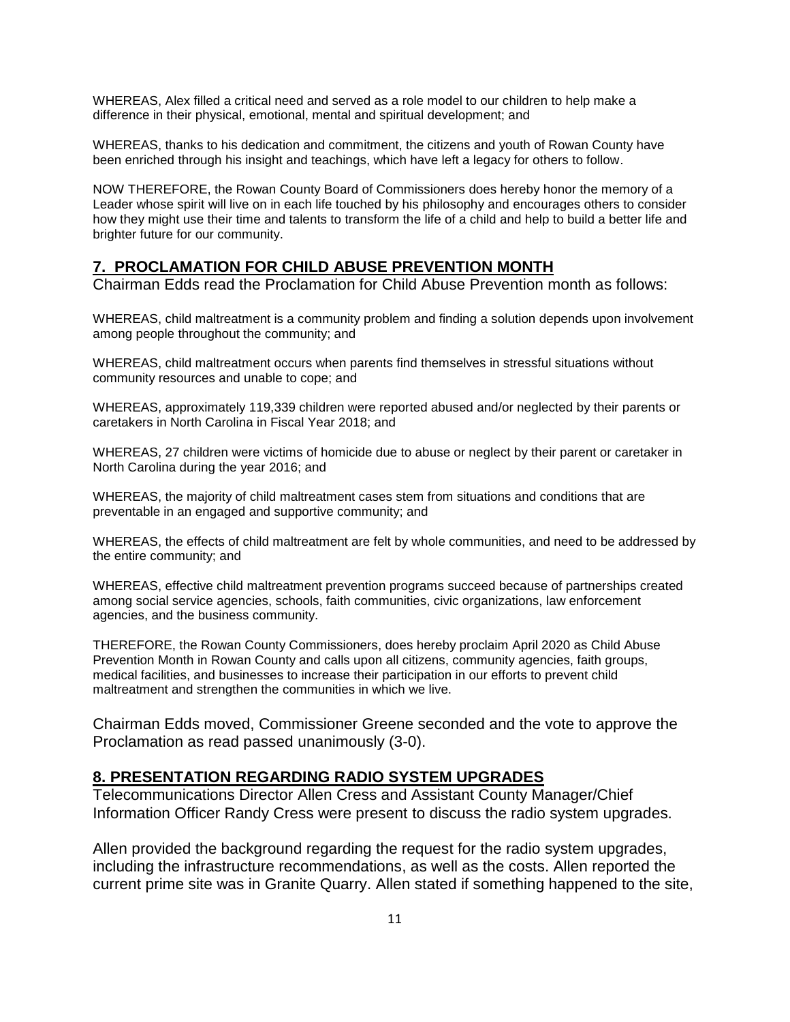WHEREAS, Alex filled a critical need and served as a role model to our children to help make a difference in their physical, emotional, mental and spiritual development; and

WHEREAS, thanks to his dedication and commitment, the citizens and youth of Rowan County have been enriched through his insight and teachings, which have left a legacy for others to follow.

NOW THEREFORE, the Rowan County Board of Commissioners does hereby honor the memory of a Leader whose spirit will live on in each life touched by his philosophy and encourages others to consider how they might use their time and talents to transform the life of a child and help to build a better life and brighter future for our community.

#### **7. PROCLAMATION FOR CHILD ABUSE PREVENTION MONTH**

Chairman Edds read the Proclamation for Child Abuse Prevention month as follows:

WHEREAS, child maltreatment is a community problem and finding a solution depends upon involvement among people throughout the community; and

WHEREAS, child maltreatment occurs when parents find themselves in stressful situations without community resources and unable to cope; and

WHEREAS, approximately 119,339 children were reported abused and/or neglected by their parents or caretakers in North Carolina in Fiscal Year 2018; and

WHEREAS, 27 children were victims of homicide due to abuse or neglect by their parent or caretaker in North Carolina during the year 2016; and

WHEREAS, the majority of child maltreatment cases stem from situations and conditions that are preventable in an engaged and supportive community; and

WHEREAS, the effects of child maltreatment are felt by whole communities, and need to be addressed by the entire community; and

WHEREAS, effective child maltreatment prevention programs succeed because of partnerships created among social service agencies, schools, faith communities, civic organizations, law enforcement agencies, and the business community.

THEREFORE, the Rowan County Commissioners, does hereby proclaim April 2020 as Child Abuse Prevention Month in Rowan County and calls upon all citizens, community agencies, faith groups, medical facilities, and businesses to increase their participation in our efforts to prevent child maltreatment and strengthen the communities in which we live.

Chairman Edds moved, Commissioner Greene seconded and the vote to approve the Proclamation as read passed unanimously (3-0).

#### **8. PRESENTATION REGARDING RADIO SYSTEM UPGRADES**

Telecommunications Director Allen Cress and Assistant County Manager/Chief Information Officer Randy Cress were present to discuss the radio system upgrades.

Allen provided the background regarding the request for the radio system upgrades, including the infrastructure recommendations, as well as the costs. Allen reported the current prime site was in Granite Quarry. Allen stated if something happened to the site,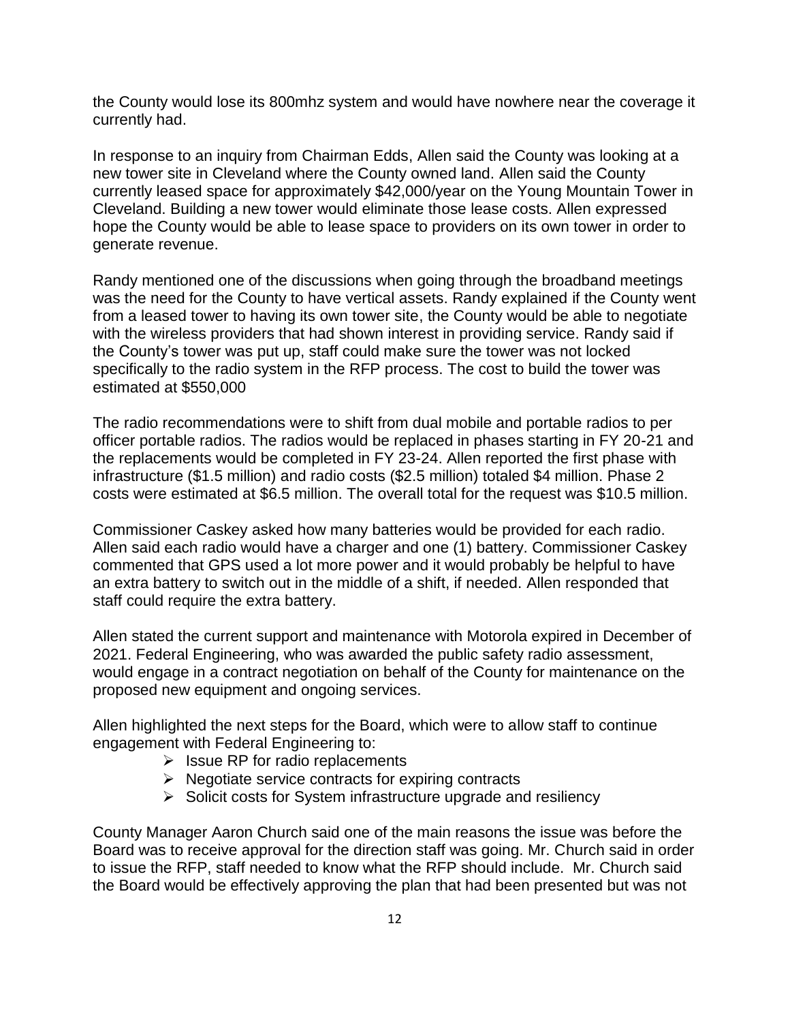the County would lose its 800mhz system and would have nowhere near the coverage it currently had.

In response to an inquiry from Chairman Edds, Allen said the County was looking at a new tower site in Cleveland where the County owned land. Allen said the County currently leased space for approximately \$42,000/year on the Young Mountain Tower in Cleveland. Building a new tower would eliminate those lease costs. Allen expressed hope the County would be able to lease space to providers on its own tower in order to generate revenue.

Randy mentioned one of the discussions when going through the broadband meetings was the need for the County to have vertical assets. Randy explained if the County went from a leased tower to having its own tower site, the County would be able to negotiate with the wireless providers that had shown interest in providing service. Randy said if the County's tower was put up, staff could make sure the tower was not locked specifically to the radio system in the RFP process. The cost to build the tower was estimated at \$550,000

The radio recommendations were to shift from dual mobile and portable radios to per officer portable radios. The radios would be replaced in phases starting in FY 20-21 and the replacements would be completed in FY 23-24. Allen reported the first phase with infrastructure (\$1.5 million) and radio costs (\$2.5 million) totaled \$4 million. Phase 2 costs were estimated at \$6.5 million. The overall total for the request was \$10.5 million.

Commissioner Caskey asked how many batteries would be provided for each radio. Allen said each radio would have a charger and one (1) battery. Commissioner Caskey commented that GPS used a lot more power and it would probably be helpful to have an extra battery to switch out in the middle of a shift, if needed. Allen responded that staff could require the extra battery.

Allen stated the current support and maintenance with Motorola expired in December of 2021. Federal Engineering, who was awarded the public safety radio assessment, would engage in a contract negotiation on behalf of the County for maintenance on the proposed new equipment and ongoing services.

Allen highlighted the next steps for the Board, which were to allow staff to continue engagement with Federal Engineering to:

- $\triangleright$  Issue RP for radio replacements
- $\triangleright$  Negotiate service contracts for expiring contracts
- ➢ Solicit costs for System infrastructure upgrade and resiliency

County Manager Aaron Church said one of the main reasons the issue was before the Board was to receive approval for the direction staff was going. Mr. Church said in order to issue the RFP, staff needed to know what the RFP should include. Mr. Church said the Board would be effectively approving the plan that had been presented but was not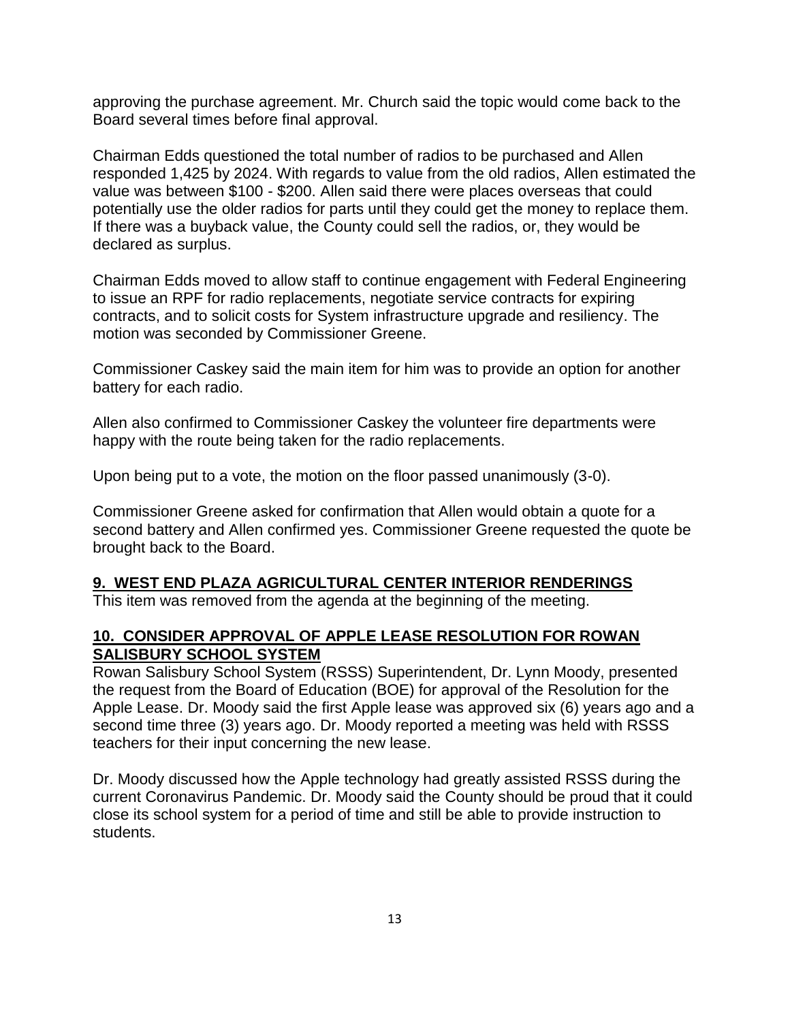approving the purchase agreement. Mr. Church said the topic would come back to the Board several times before final approval.

Chairman Edds questioned the total number of radios to be purchased and Allen responded 1,425 by 2024. With regards to value from the old radios, Allen estimated the value was between \$100 - \$200. Allen said there were places overseas that could potentially use the older radios for parts until they could get the money to replace them. If there was a buyback value, the County could sell the radios, or, they would be declared as surplus.

Chairman Edds moved to allow staff to continue engagement with Federal Engineering to issue an RPF for radio replacements, negotiate service contracts for expiring contracts, and to solicit costs for System infrastructure upgrade and resiliency. The motion was seconded by Commissioner Greene.

Commissioner Caskey said the main item for him was to provide an option for another battery for each radio.

Allen also confirmed to Commissioner Caskey the volunteer fire departments were happy with the route being taken for the radio replacements.

Upon being put to a vote, the motion on the floor passed unanimously (3-0).

Commissioner Greene asked for confirmation that Allen would obtain a quote for a second battery and Allen confirmed yes. Commissioner Greene requested the quote be brought back to the Board.

#### **9. WEST END PLAZA AGRICULTURAL CENTER INTERIOR RENDERINGS**

This item was removed from the agenda at the beginning of the meeting.

### **10. CONSIDER APPROVAL OF APPLE LEASE RESOLUTION FOR ROWAN SALISBURY SCHOOL SYSTEM**

Rowan Salisbury School System (RSSS) Superintendent, Dr. Lynn Moody, presented the request from the Board of Education (BOE) for approval of the Resolution for the Apple Lease. Dr. Moody said the first Apple lease was approved six (6) years ago and a second time three (3) years ago. Dr. Moody reported a meeting was held with RSSS teachers for their input concerning the new lease.

Dr. Moody discussed how the Apple technology had greatly assisted RSSS during the current Coronavirus Pandemic. Dr. Moody said the County should be proud that it could close its school system for a period of time and still be able to provide instruction to students.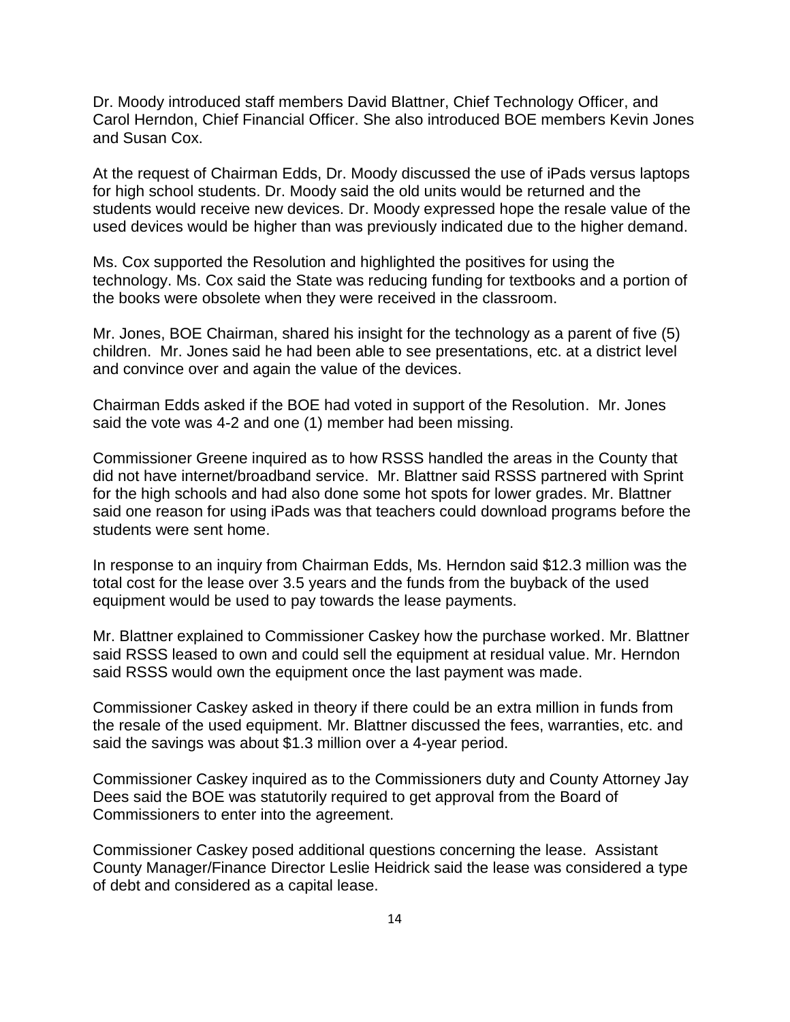Dr. Moody introduced staff members David Blattner, Chief Technology Officer, and Carol Herndon, Chief Financial Officer. She also introduced BOE members Kevin Jones and Susan Cox.

At the request of Chairman Edds, Dr. Moody discussed the use of iPads versus laptops for high school students. Dr. Moody said the old units would be returned and the students would receive new devices. Dr. Moody expressed hope the resale value of the used devices would be higher than was previously indicated due to the higher demand.

Ms. Cox supported the Resolution and highlighted the positives for using the technology. Ms. Cox said the State was reducing funding for textbooks and a portion of the books were obsolete when they were received in the classroom.

Mr. Jones, BOE Chairman, shared his insight for the technology as a parent of five (5) children. Mr. Jones said he had been able to see presentations, etc. at a district level and convince over and again the value of the devices.

Chairman Edds asked if the BOE had voted in support of the Resolution. Mr. Jones said the vote was 4-2 and one (1) member had been missing.

Commissioner Greene inquired as to how RSSS handled the areas in the County that did not have internet/broadband service. Mr. Blattner said RSSS partnered with Sprint for the high schools and had also done some hot spots for lower grades. Mr. Blattner said one reason for using iPads was that teachers could download programs before the students were sent home.

In response to an inquiry from Chairman Edds, Ms. Herndon said \$12.3 million was the total cost for the lease over 3.5 years and the funds from the buyback of the used equipment would be used to pay towards the lease payments.

Mr. Blattner explained to Commissioner Caskey how the purchase worked. Mr. Blattner said RSSS leased to own and could sell the equipment at residual value. Mr. Herndon said RSSS would own the equipment once the last payment was made.

Commissioner Caskey asked in theory if there could be an extra million in funds from the resale of the used equipment. Mr. Blattner discussed the fees, warranties, etc. and said the savings was about \$1.3 million over a 4-year period.

Commissioner Caskey inquired as to the Commissioners duty and County Attorney Jay Dees said the BOE was statutorily required to get approval from the Board of Commissioners to enter into the agreement.

Commissioner Caskey posed additional questions concerning the lease. Assistant County Manager/Finance Director Leslie Heidrick said the lease was considered a type of debt and considered as a capital lease.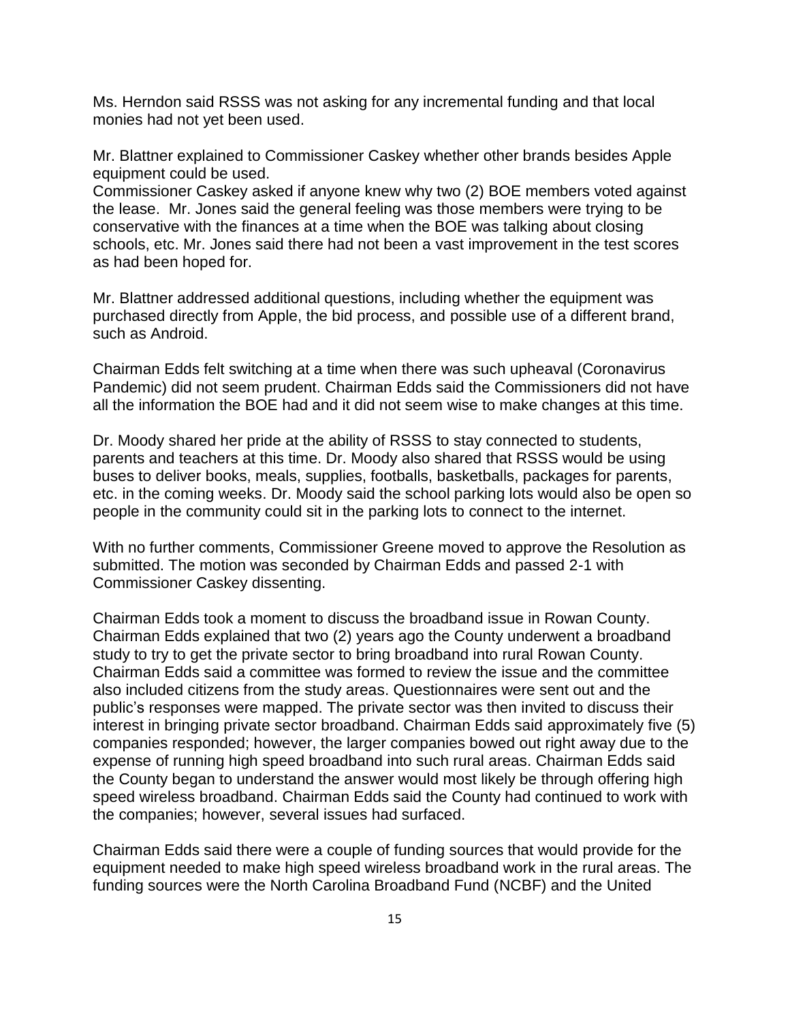Ms. Herndon said RSSS was not asking for any incremental funding and that local monies had not yet been used.

Mr. Blattner explained to Commissioner Caskey whether other brands besides Apple equipment could be used.

Commissioner Caskey asked if anyone knew why two (2) BOE members voted against the lease. Mr. Jones said the general feeling was those members were trying to be conservative with the finances at a time when the BOE was talking about closing schools, etc. Mr. Jones said there had not been a vast improvement in the test scores as had been hoped for.

Mr. Blattner addressed additional questions, including whether the equipment was purchased directly from Apple, the bid process, and possible use of a different brand, such as Android.

Chairman Edds felt switching at a time when there was such upheaval (Coronavirus Pandemic) did not seem prudent. Chairman Edds said the Commissioners did not have all the information the BOE had and it did not seem wise to make changes at this time.

Dr. Moody shared her pride at the ability of RSSS to stay connected to students, parents and teachers at this time. Dr. Moody also shared that RSSS would be using buses to deliver books, meals, supplies, footballs, basketballs, packages for parents, etc. in the coming weeks. Dr. Moody said the school parking lots would also be open so people in the community could sit in the parking lots to connect to the internet.

With no further comments, Commissioner Greene moved to approve the Resolution as submitted. The motion was seconded by Chairman Edds and passed 2-1 with Commissioner Caskey dissenting.

Chairman Edds took a moment to discuss the broadband issue in Rowan County. Chairman Edds explained that two (2) years ago the County underwent a broadband study to try to get the private sector to bring broadband into rural Rowan County. Chairman Edds said a committee was formed to review the issue and the committee also included citizens from the study areas. Questionnaires were sent out and the public's responses were mapped. The private sector was then invited to discuss their interest in bringing private sector broadband. Chairman Edds said approximately five (5) companies responded; however, the larger companies bowed out right away due to the expense of running high speed broadband into such rural areas. Chairman Edds said the County began to understand the answer would most likely be through offering high speed wireless broadband. Chairman Edds said the County had continued to work with the companies; however, several issues had surfaced.

Chairman Edds said there were a couple of funding sources that would provide for the equipment needed to make high speed wireless broadband work in the rural areas. The funding sources were the North Carolina Broadband Fund (NCBF) and the United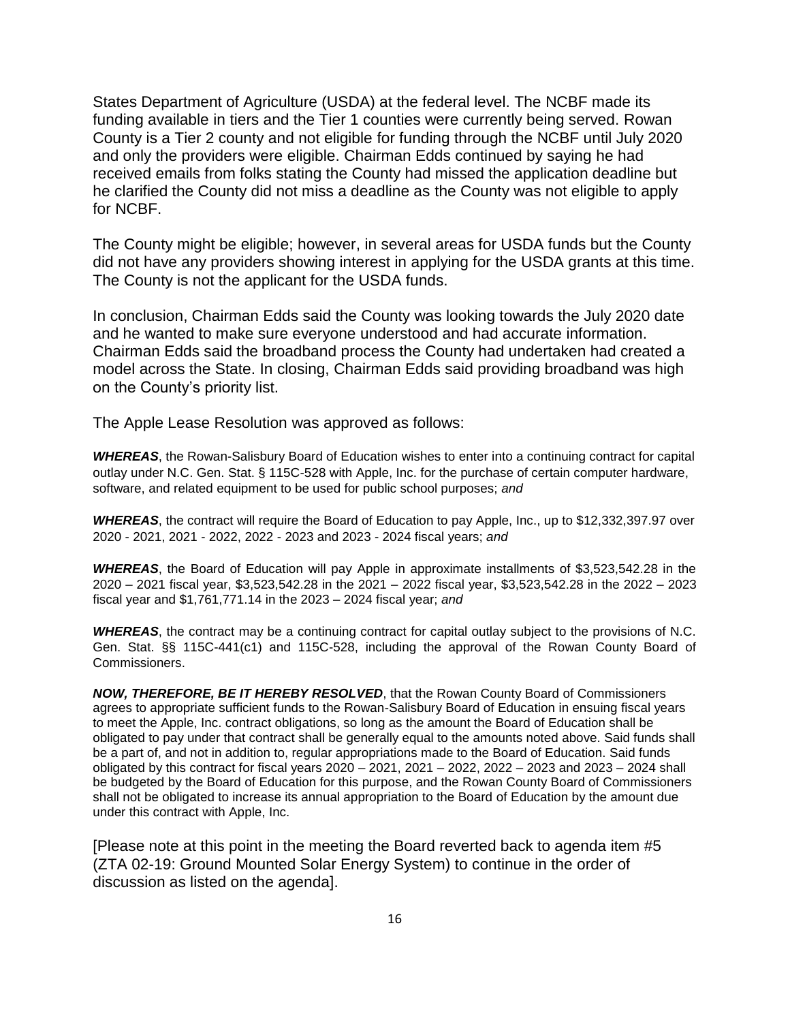States Department of Agriculture (USDA) at the federal level. The NCBF made its funding available in tiers and the Tier 1 counties were currently being served. Rowan County is a Tier 2 county and not eligible for funding through the NCBF until July 2020 and only the providers were eligible. Chairman Edds continued by saying he had received emails from folks stating the County had missed the application deadline but he clarified the County did not miss a deadline as the County was not eligible to apply for NCBF.

The County might be eligible; however, in several areas for USDA funds but the County did not have any providers showing interest in applying for the USDA grants at this time. The County is not the applicant for the USDA funds.

In conclusion, Chairman Edds said the County was looking towards the July 2020 date and he wanted to make sure everyone understood and had accurate information. Chairman Edds said the broadband process the County had undertaken had created a model across the State. In closing, Chairman Edds said providing broadband was high on the County's priority list.

The Apple Lease Resolution was approved as follows:

*WHEREAS*, the Rowan-Salisbury Board of Education wishes to enter into a continuing contract for capital outlay under N.C. Gen. Stat. § 115C-528 with Apple, Inc. for the purchase of certain computer hardware, software, and related equipment to be used for public school purposes; *and*

*WHEREAS*, the contract will require the Board of Education to pay Apple, Inc., up to \$12,332,397.97 over 2020 - 2021, 2021 - 2022, 2022 - 2023 and 2023 - 2024 fiscal years; *and* 

*WHEREAS*, the Board of Education will pay Apple in approximate installments of \$3,523,542.28 in the 2020 – 2021 fiscal year, \$3,523,542.28 in the 2021 – 2022 fiscal year, \$3,523,542.28 in the 2022 – 2023 fiscal year and \$1,761,771.14 in the 2023 – 2024 fiscal year; *and* 

*WHEREAS*, the contract may be a continuing contract for capital outlay subject to the provisions of N.C. Gen. Stat. §§ 115C-441(c1) and 115C-528, including the approval of the Rowan County Board of Commissioners.

*NOW, THEREFORE, BE IT HEREBY RESOLVED*, that the Rowan County Board of Commissioners agrees to appropriate sufficient funds to the Rowan-Salisbury Board of Education in ensuing fiscal years to meet the Apple, Inc. contract obligations, so long as the amount the Board of Education shall be obligated to pay under that contract shall be generally equal to the amounts noted above. Said funds shall be a part of, and not in addition to, regular appropriations made to the Board of Education. Said funds obligated by this contract for fiscal years 2020 – 2021, 2021 – 2022, 2022 – 2023 and 2023 – 2024 shall be budgeted by the Board of Education for this purpose, and the Rowan County Board of Commissioners shall not be obligated to increase its annual appropriation to the Board of Education by the amount due under this contract with Apple, Inc.

[Please note at this point in the meeting the Board reverted back to agenda item #5 (ZTA 02-19: Ground Mounted Solar Energy System) to continue in the order of discussion as listed on the agenda].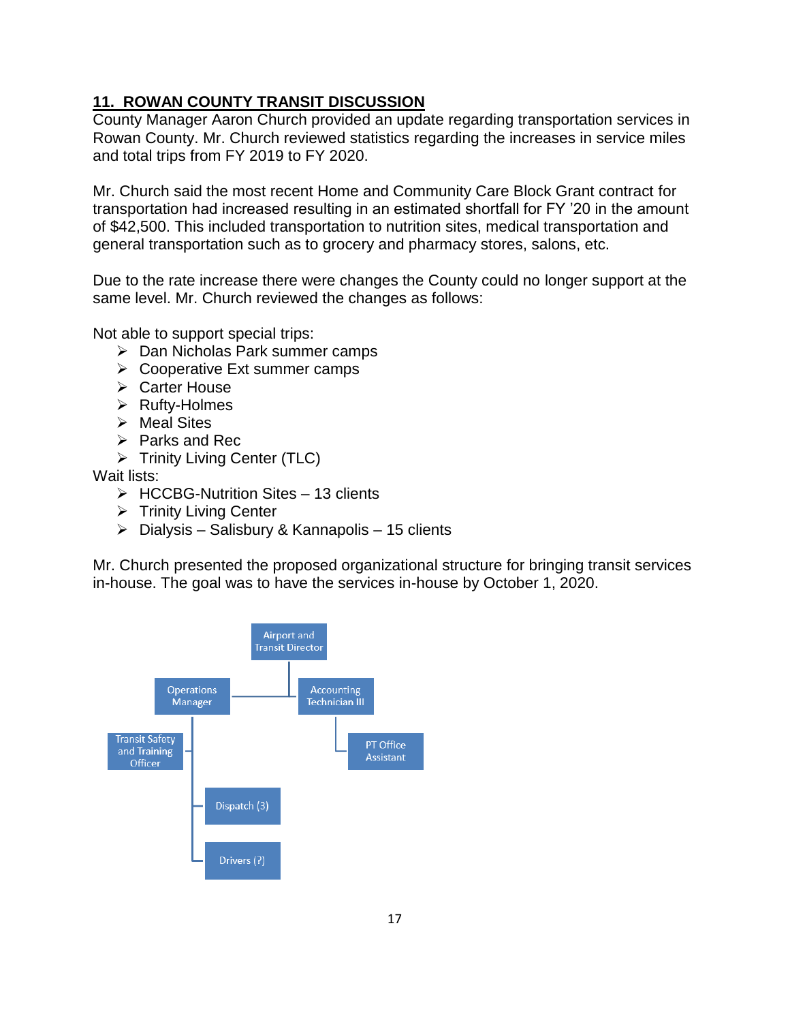## **11. ROWAN COUNTY TRANSIT DISCUSSION**

County Manager Aaron Church provided an update regarding transportation services in Rowan County. Mr. Church reviewed statistics regarding the increases in service miles and total trips from FY 2019 to FY 2020.

Mr. Church said the most recent Home and Community Care Block Grant contract for transportation had increased resulting in an estimated shortfall for FY '20 in the amount of \$42,500. This included transportation to nutrition sites, medical transportation and general transportation such as to grocery and pharmacy stores, salons, etc.

Due to the rate increase there were changes the County could no longer support at the same level. Mr. Church reviewed the changes as follows:

Not able to support special trips:

- ➢ Dan Nicholas Park summer camps
- ➢ Cooperative Ext summer camps
- ➢ Carter House
- ➢ Rufty-Holmes
- ➢ Meal Sites
- ➢ Parks and Rec
- ➢ Trinity Living Center (TLC)

Wait lists:

- $\triangleright$  HCCBG-Nutrition Sites 13 clients
- ➢ Trinity Living Center
- $\triangleright$  Dialysis Salisbury & Kannapolis 15 clients

Mr. Church presented the proposed organizational structure for bringing transit services in-house. The goal was to have the services in-house by October 1, 2020.

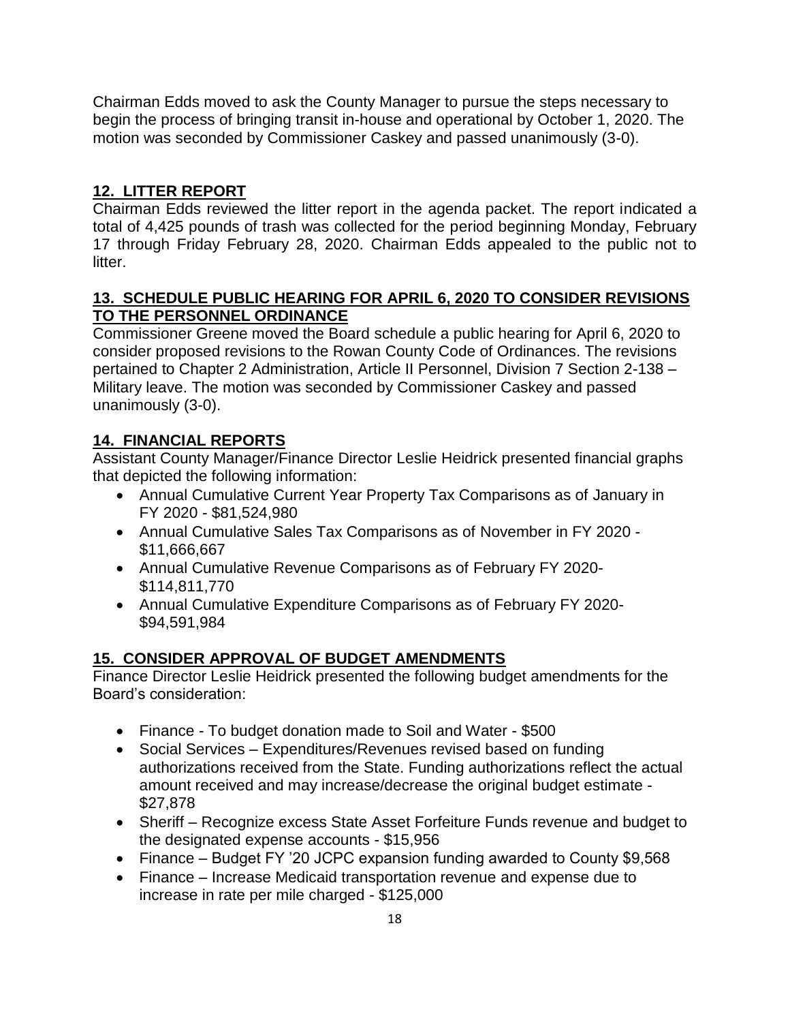Chairman Edds moved to ask the County Manager to pursue the steps necessary to begin the process of bringing transit in-house and operational by October 1, 2020. The motion was seconded by Commissioner Caskey and passed unanimously (3-0).

## **12. LITTER REPORT**

Chairman Edds reviewed the litter report in the agenda packet. The report indicated a total of 4,425 pounds of trash was collected for the period beginning Monday, February 17 through Friday February 28, 2020. Chairman Edds appealed to the public not to litter.

### **13. SCHEDULE PUBLIC HEARING FOR APRIL 6, 2020 TO CONSIDER REVISIONS TO THE PERSONNEL ORDINANCE**

Commissioner Greene moved the Board schedule a public hearing for April 6, 2020 to consider proposed revisions to the Rowan County Code of Ordinances. The revisions pertained to Chapter 2 Administration, Article II Personnel, Division 7 Section 2-138 – Military leave. The motion was seconded by Commissioner Caskey and passed unanimously (3-0).

# **14. FINANCIAL REPORTS**

Assistant County Manager/Finance Director Leslie Heidrick presented financial graphs that depicted the following information:

- Annual Cumulative Current Year Property Tax Comparisons as of January in FY 2020 - \$81,524,980
- Annual Cumulative Sales Tax Comparisons as of November in FY 2020 \$11,666,667
- Annual Cumulative Revenue Comparisons as of February FY 2020- \$114,811,770
- Annual Cumulative Expenditure Comparisons as of February FY 2020- \$94,591,984

# **15. CONSIDER APPROVAL OF BUDGET AMENDMENTS**

Finance Director Leslie Heidrick presented the following budget amendments for the Board's consideration:

- Finance To budget donation made to Soil and Water \$500
- Social Services Expenditures/Revenues revised based on funding authorizations received from the State. Funding authorizations reflect the actual amount received and may increase/decrease the original budget estimate - \$27,878
- Sheriff Recognize excess State Asset Forfeiture Funds revenue and budget to the designated expense accounts - \$15,956
- Finance Budget FY '20 JCPC expansion funding awarded to County \$9,568
- Finance Increase Medicaid transportation revenue and expense due to increase in rate per mile charged - \$125,000